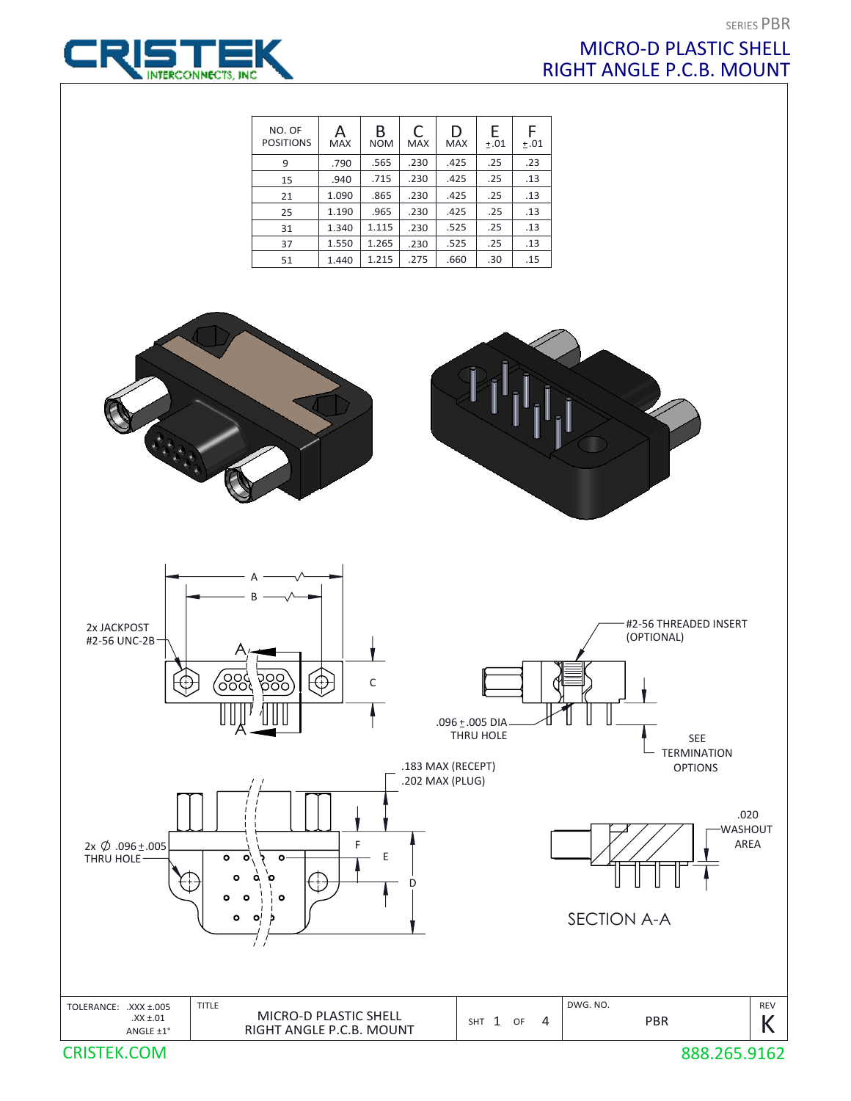

## SERIES PBR MICRO-D PLASTIC SHELL RIGHT ANGLE P.C.B. MOUNT

| NO. OF<br><b>POSITIONS</b> | А<br><b>MAX</b> | B<br><b>NOM</b> | C<br><b>MAX</b> | D<br><b>MAX</b> | E<br>±.01 | ±.01 |
|----------------------------|-----------------|-----------------|-----------------|-----------------|-----------|------|
| 9                          | .790            | .565            | .230            | .425            | .25       | .23  |
| 15                         | .940            | .715            | .230            | .425            | .25       | .13  |
| 21                         | 1.090           | .865            | .230            | .425            | .25       | .13  |
| 25                         | 1.190           | .965            | .230            | .425            | .25       | .13  |
| 31                         | 1.340           | 1.115           | .230            | .525            | .25       | .13  |
| 37                         | 1.550           | 1.265           | .230            | .525            | .25       | .13  |
| 51                         | 1.440           | 1.215           | .275            | .660            | .30       | .15  |



CRISTEK.COM

888.265.9162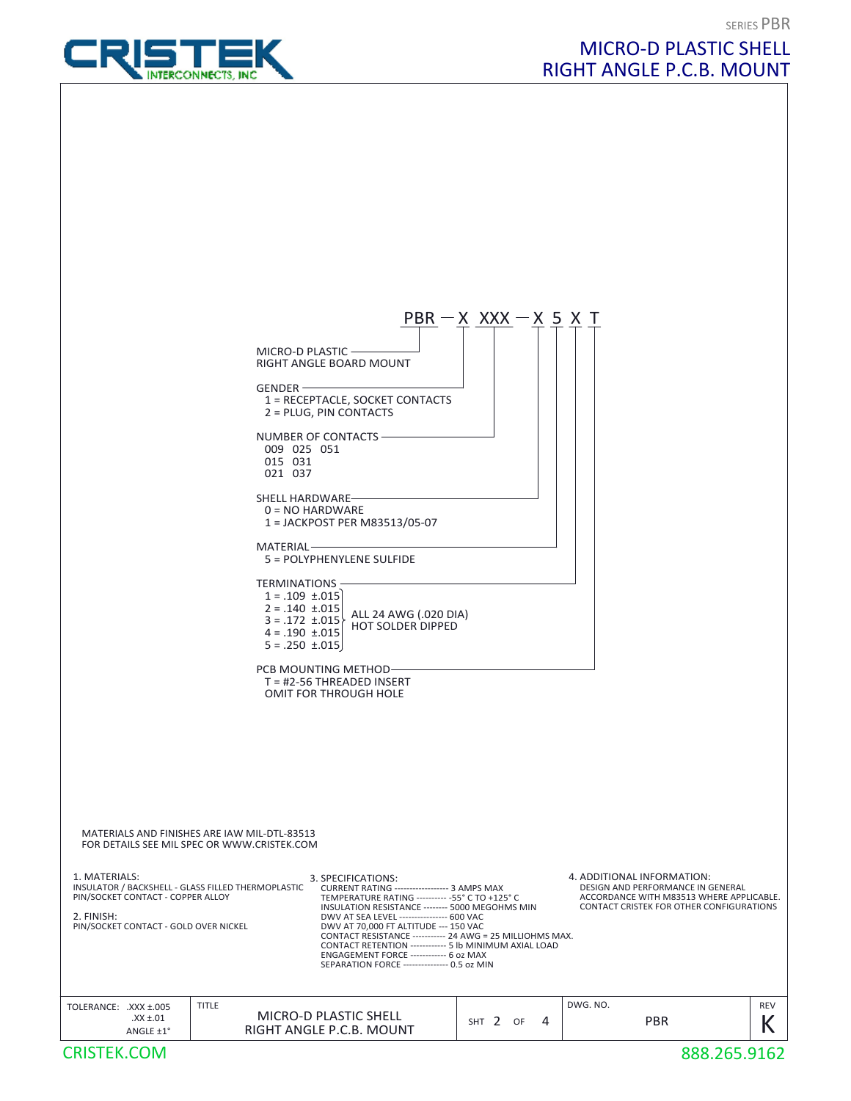



CRISTEK.COM

MICRO-D PLASTIC SHELL RIGHT ANGLE P.C.B. MOUNT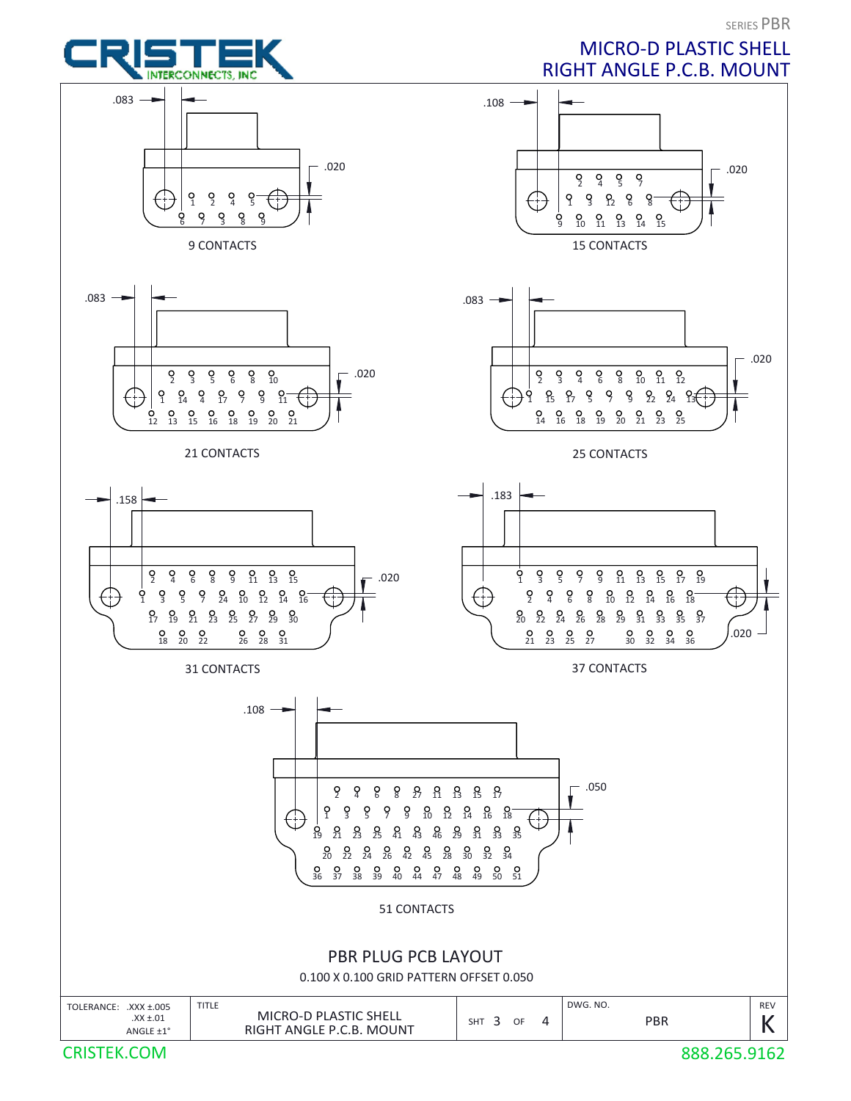





CRISTEK.COM